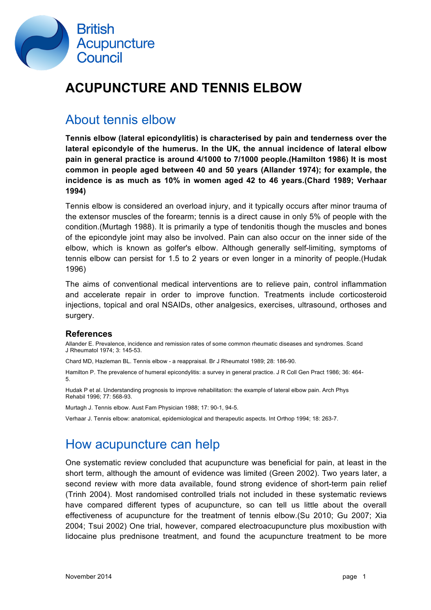

## **ACUPUNCTURE AND TENNIS ELBOW**

#### About tennis elbow

**Tennis elbow (lateral epicondylitis) is characterised by pain and tenderness over the lateral epicondyle of the humerus. In the UK, the annual incidence of lateral elbow pain in general practice is around 4/1000 to 7/1000 people.(Hamilton 1986) It is most common in people aged between 40 and 50 years (Allander 1974); for example, the incidence is as much as 10% in women aged 42 to 46 years.(Chard 1989; Verhaar 1994)**

Tennis elbow is considered an overload injury, and it typically occurs after minor trauma of the extensor muscles of the forearm; tennis is a direct cause in only 5% of people with the condition.(Murtagh 1988). It is primarily a type of tendonitis though the muscles and bones of the epicondyle joint may also be involved. Pain can also occur on the inner side of the elbow, which is known as golfer's elbow. Although generally self-limiting, symptoms of tennis elbow can persist for 1.5 to 2 years or even longer in a minority of people.(Hudak 1996)

The aims of conventional medical interventions are to relieve pain, control inflammation and accelerate repair in order to improve function. Treatments include corticosteroid injections, topical and oral NSAIDs, other analgesics, exercises, ultrasound, orthoses and surgery.

#### **References**

Allander E. Prevalence, incidence and remission rates of some common rheumatic diseases and syndromes. Scand J Rheumatol 1974; 3: 145-53.

Chard MD, Hazleman BL. Tennis elbow - a reappraisal. Br J Rheumatol 1989; 28: 186-90.

Hamilton P. The prevalence of humeral epicondylitis: a survey in general practice. J R Coll Gen Pract 1986; 36: 464- 5.

Hudak P et al. Understanding prognosis to improve rehabilitation: the example of lateral elbow pain. Arch Phys Rehabil 1996; 77: 568-93.

Murtagh J. Tennis elbow. Aust Fam Physician 1988; 17: 90-1, 94-5.

Verhaar J. Tennis elbow: anatomical, epidemiological and therapeutic aspects. Int Orthop 1994; 18: 263-7.

#### How acupuncture can help

One systematic review concluded that acupuncture was beneficial for pain, at least in the short term, although the amount of evidence was limited (Green 2002). Two years later, a second review with more data available, found strong evidence of short-term pain relief (Trinh 2004). Most randomised controlled trials not included in these systematic reviews have compared different types of acupuncture, so can tell us little about the overall effectiveness of acupuncture for the treatment of tennis elbow.(Su 2010; Gu 2007; Xia 2004; Tsui 2002) One trial, however, compared electroacupuncture plus moxibustion with lidocaine plus prednisone treatment, and found the acupuncture treatment to be more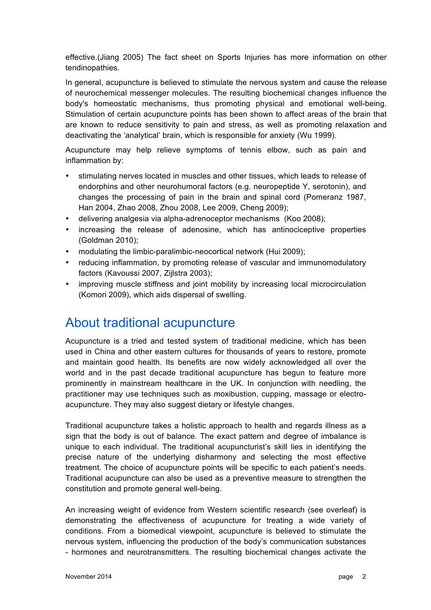effective.(Jiang 2005) The fact sheet on Sports Injuries has more information on other tendinopathies.

In general, acupuncture is believed to stimulate the nervous system and cause the release of neurochemical messenger molecules. The resulting biochemical changes influence the body's homeostatic mechanisms, thus promoting physical and emotional well-being. Stimulation of certain acupuncture points has been shown to affect areas of the brain that are known to reduce sensitivity to pain and stress, as well as promoting relaxation and deactivating the 'analytical' brain, which is responsible for anxiety (Wu 1999).

Acupuncture may help relieve symptoms of tennis elbow, such as pain and inflammation by:

- stimulating nerves located in muscles and other tissues, which leads to release of endorphins and other neurohumoral factors (e.g. neuropeptide Y, serotonin), and changes the processing of pain in the brain and spinal cord (Pomeranz 1987, Han 2004, Zhao 2008, Zhou 2008, Lee 2009, Cheng 2009);
- delivering analgesia via alpha-adrenoceptor mechanisms (Koo 2008);
- increasing the release of adenosine, which has antinociceptive properties (Goldman 2010);
- modulating the limbic-paralimbic-neocortical network (Hui 2009);
- reducing inflammation, by promoting release of vascular and immunomodulatory factors (Kavoussi 2007, Zijlstra 2003);
- improving muscle stiffness and joint mobility by increasing local microcirculation (Komori 2009), which aids dispersal of swelling.

#### About traditional acupuncture

Acupuncture is a tried and tested system of traditional medicine, which has been used in China and other eastern cultures for thousands of years to restore, promote and maintain good health. Its benefits are now widely acknowledged all over the world and in the past decade traditional acupuncture has begun to feature more prominently in mainstream healthcare in the UK. In conjunction with needling, the practitioner may use techniques such as moxibustion, cupping, massage or electroacupuncture. They may also suggest dietary or lifestyle changes.

Traditional acupuncture takes a holistic approach to health and regards illness as a sign that the body is out of balance. The exact pattern and degree of imbalance is unique to each individual. The traditional acupuncturist's skill lies in identifying the precise nature of the underlying disharmony and selecting the most effective treatment. The choice of acupuncture points will be specific to each patient's needs. Traditional acupuncture can also be used as a preventive measure to strengthen the constitution and promote general well-being.

An increasing weight of evidence from Western scientific research (see overleaf) is demonstrating the effectiveness of acupuncture for treating a wide variety of conditions. From a biomedical viewpoint, acupuncture is believed to stimulate the nervous system, influencing the production of the body's communication substances - hormones and neurotransmitters. The resulting biochemical changes activate the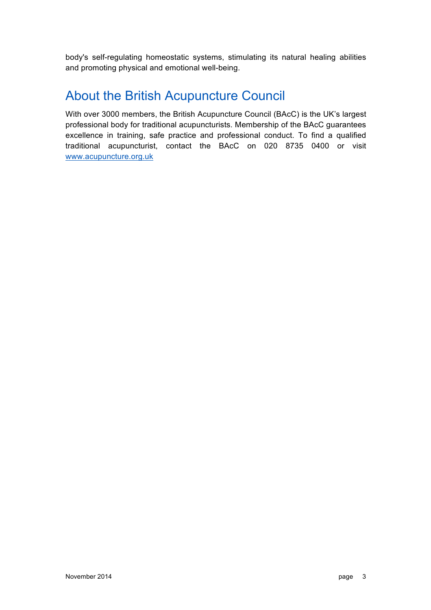body's self-regulating homeostatic systems, stimulating its natural healing abilities and promoting physical and emotional well-being.

### About the British Acupuncture Council

With over 3000 members, the British Acupuncture Council (BAcC) is the UK's largest professional body for traditional acupuncturists. Membership of the BAcC guarantees excellence in training, safe practice and professional conduct. To find a qualified traditional acupuncturist, contact the BAcC on 020 8735 0400 or visit www.acupuncture.org.uk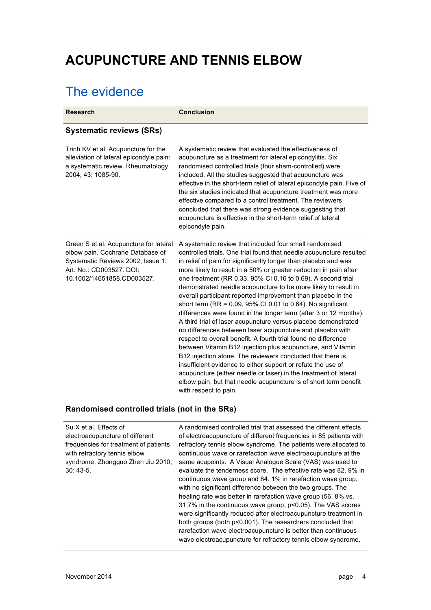# **ACUPUNCTURE AND TENNIS ELBOW**

### The evidence

| <b>Research</b>                                                                                                                                                           | <b>Conclusion</b>                                                                                                                                                                                                                                                                                                                                                                                                                                                                                                                                                                                                                                                                                                                                                                                                                                                                                                                                                                                                                                                                                                                                                               |
|---------------------------------------------------------------------------------------------------------------------------------------------------------------------------|---------------------------------------------------------------------------------------------------------------------------------------------------------------------------------------------------------------------------------------------------------------------------------------------------------------------------------------------------------------------------------------------------------------------------------------------------------------------------------------------------------------------------------------------------------------------------------------------------------------------------------------------------------------------------------------------------------------------------------------------------------------------------------------------------------------------------------------------------------------------------------------------------------------------------------------------------------------------------------------------------------------------------------------------------------------------------------------------------------------------------------------------------------------------------------|
| <b>Systematic reviews (SRs)</b>                                                                                                                                           |                                                                                                                                                                                                                                                                                                                                                                                                                                                                                                                                                                                                                                                                                                                                                                                                                                                                                                                                                                                                                                                                                                                                                                                 |
| Trinh KV et al. Acupuncture for the<br>alleviation of lateral epicondyle pain:<br>a systematic review. Rheumatology<br>2004; 43: 1085-90.                                 | A systematic review that evaluated the effectiveness of<br>acupuncture as a treatment for lateral epicondylitis. Six<br>randomised controlled trials (four sham-controlled) were<br>included. All the studies suggested that acupuncture was<br>effective in the short-term relief of lateral epicondyle pain. Five of<br>the six studies indicated that acupuncture treatment was more<br>effective compared to a control treatment. The reviewers<br>concluded that there was strong evidence suggesting that<br>acupuncture is effective in the short-term relief of lateral<br>epicondyle pain.                                                                                                                                                                                                                                                                                                                                                                                                                                                                                                                                                                             |
| Green S et al. Acupuncture for lateral<br>elbow pain. Cochrane Database of<br>Systematic Reviews 2002, Issue 1.<br>Art. No.: CD003527. DOI:<br>10.1002/14651858.CD003527. | A systematic review that included four small randomised<br>controlled trials. One trial found that needle acupuncture resulted<br>in relief of pain for significantly longer than placebo and was<br>more likely to result in a 50% or greater reduction in pain after<br>one treatment (RR 0.33, 95% CI 0.16 to 0.69). A second trial<br>demonstrated needle acupuncture to be more likely to result in<br>overall participant reported improvement than placebo in the<br>short term ( $RR = 0.09$ , 95% CI 0.01 to 0.64). No significant<br>differences were found in the longer term (after 3 or 12 months).<br>A third trial of laser acupuncture versus placebo demonstrated<br>no differences between laser acupuncture and placebo with<br>respect to overall benefit. A fourth trial found no difference<br>between Vitamin B12 injection plus acupuncture, and Vitamin<br>B12 injection alone. The reviewers concluded that there is<br>insufficient evidence to either support or refute the use of<br>acupuncture (either needle or laser) in the treatment of lateral<br>elbow pain, but that needle acupuncture is of short term benefit<br>with respect to pain. |

#### **Randomised controlled trials (not in the SRs)**

| Su X et al. Effects of                                                   | A randomised controlled trial that assessed the different effects                                                                      |
|--------------------------------------------------------------------------|----------------------------------------------------------------------------------------------------------------------------------------|
| electroacupuncture of different<br>frequencies for treatment of patients | of electroacupuncture of different frequencies in 85 patients with<br>refractory tennis elbow syndrome. The patients were allocated to |
| with refractory tennis elbow                                             | continuous wave or rarefaction wave electroacupuncture at the                                                                          |
| syndrome. Zhongquo Zhen Jiu 2010;                                        | same acupoints. A Visual Analogue Scale (VAS) was used to                                                                              |
| $30:43-5.$                                                               | evaluate the tenderness score. The effective rate was 82, 9% in                                                                        |
|                                                                          | continuous wave group and 84, 1% in rarefaction wave group.                                                                            |
|                                                                          | with no significant difference between the two groups. The                                                                             |
|                                                                          | healing rate was better in rarefaction wave group (56, 8% vs.)                                                                         |
|                                                                          | 31.7% in the continuous wave group; p<0.05). The VAS scores                                                                            |
|                                                                          | were significantly reduced after electroacupuncture treatment in                                                                       |
|                                                                          | both groups (both p<0.001). The researchers concluded that                                                                             |
|                                                                          | rarefaction wave electroacupuncture is better than continuous                                                                          |
|                                                                          | wave electroacupuncture for refractory tennis elbow syndrome.                                                                          |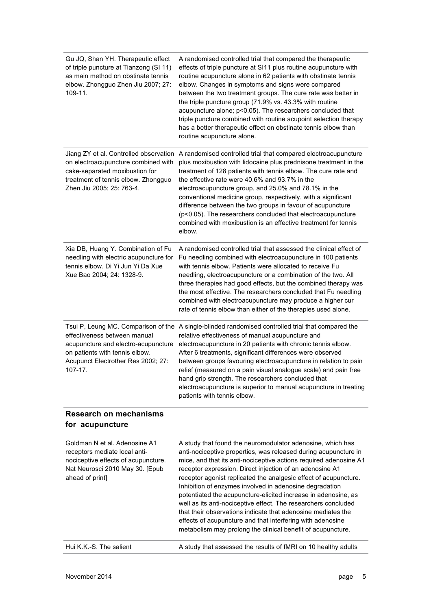| Gu JQ, Shan YH. Therapeutic effect<br>of triple puncture at Tianzong (SI 11)<br>as main method on obstinate tennis<br>elbow. Zhongguo Zhen Jiu 2007; 27:<br>109-11.                 | A randomised controlled trial that compared the therapeutic<br>effects of triple puncture at SI11 plus routine acupuncture with<br>routine acupuncture alone in 62 patients with obstinate tennis<br>elbow. Changes in symptoms and signs were compared<br>between the two treatment groups. The cure rate was better in<br>the triple puncture group (71.9% vs. 43.3% with routine<br>acupuncture alone; p<0.05). The researchers concluded that<br>triple puncture combined with routine acupoint selection therapy<br>has a better therapeutic effect on obstinate tennis elbow than<br>routine acupuncture alone. |
|-------------------------------------------------------------------------------------------------------------------------------------------------------------------------------------|-----------------------------------------------------------------------------------------------------------------------------------------------------------------------------------------------------------------------------------------------------------------------------------------------------------------------------------------------------------------------------------------------------------------------------------------------------------------------------------------------------------------------------------------------------------------------------------------------------------------------|
| Jiang ZY et al. Controlled observation<br>on electroacupuncture combined with<br>cake-separated moxibustion for<br>treatment of tennis elbow. Zhongguo<br>Zhen Jiu 2005; 25: 763-4. | A randomised controlled trial that compared electroacupuncture<br>plus moxibustion with lidocaine plus prednisone treatment in the<br>treatment of 128 patients with tennis elbow. The cure rate and<br>the effective rate were 40.6% and 93.7% in the<br>electroacupuncture group, and 25.0% and 78.1% in the<br>conventional medicine group, respectively, with a significant<br>difference between the two groups in favour of acupuncture<br>(p<0.05). The researchers concluded that electroacupuncture<br>combined with moxibustion is an effective treatment for tennis<br>elbow.                              |
| Xia DB, Huang Y. Combination of Fu<br>needling with electric acupuncture for<br>tennis elbow. Di Yi Jun Yi Da Xue<br>Xue Bao 2004; 24: 1328-9.                                      | A randomised controlled trial that assessed the clinical effect of<br>Fu needling combined with electroacupuncture in 100 patients<br>with tennis elbow. Patients were allocated to receive Fu<br>needling, electroacupuncture or a combination of the two. All<br>three therapies had good effects, but the combined therapy was<br>the most effective. The researchers concluded that Fu needling<br>combined with electroacupuncture may produce a higher cur<br>rate of tennis elbow than either of the therapies used alone.                                                                                     |
| effectiveness between manual<br>acupuncture and electro-acupuncture<br>on patients with tennis elbow.<br>Acupunct Electrother Res 2002; 27:<br>107-17.                              | Tsui P, Leung MC. Comparison of the A single-blinded randomised controlled trial that compared the<br>relative effectiveness of manual acupuncture and<br>electroacupuncture in 20 patients with chronic tennis elbow.<br>After 6 treatments, significant differences were observed<br>between groups favouring electroacupuncture in relation to pain<br>relief (measured on a pain visual analogue scale) and pain free<br>hand grip strength. The researchers concluded that<br>electroacupuncture is superior to manual acupuncture in treating<br>patients with tennis elbow.                                    |
| <b>Research on mechanisms</b><br>for acupuncture                                                                                                                                    |                                                                                                                                                                                                                                                                                                                                                                                                                                                                                                                                                                                                                       |
|                                                                                                                                                                                     |                                                                                                                                                                                                                                                                                                                                                                                                                                                                                                                                                                                                                       |

| Goldman N et al. Adenosine A1<br>receptors mediate local anti-<br>nociceptive effects of acupuncture.<br>Nat Neurosci 2010 May 30. [Epub]<br>ahead of print] | A study that found the neuromodulator adenosine, which has<br>anti-nociceptive properties, was released during acupuncture in<br>mice, and that its anti-nociceptive actions required adenosine A1<br>receptor expression. Direct injection of an adenosine A1<br>receptor agonist replicated the analgesic effect of acupuncture.<br>Inhibition of enzymes involved in adenosine degradation<br>potentiated the acupuncture-elicited increase in adenosine, as<br>well as its anti-nociceptive effect. The researchers concluded<br>that their observations indicate that adenosine mediates the<br>effects of acupuncture and that interfering with adenosine<br>metabolism may prolong the clinical benefit of acupuncture. |
|--------------------------------------------------------------------------------------------------------------------------------------------------------------|--------------------------------------------------------------------------------------------------------------------------------------------------------------------------------------------------------------------------------------------------------------------------------------------------------------------------------------------------------------------------------------------------------------------------------------------------------------------------------------------------------------------------------------------------------------------------------------------------------------------------------------------------------------------------------------------------------------------------------|
| Hui K.K.-S. The salient                                                                                                                                      | A study that assessed the results of fMRI on 10 healthy adults                                                                                                                                                                                                                                                                                                                                                                                                                                                                                                                                                                                                                                                                 |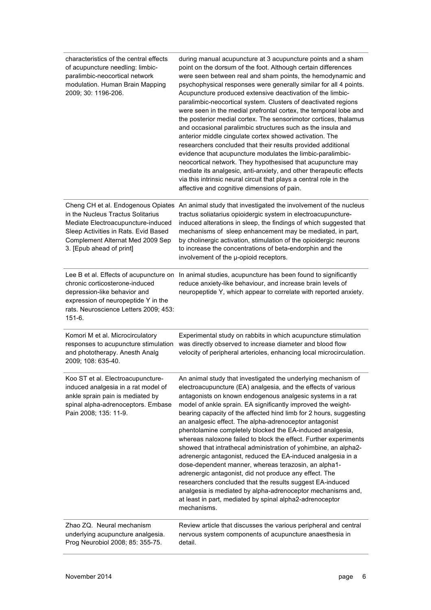| characteristics of the central effects<br>of acupuncture needling: limbic-<br>paralimbic-neocortical network<br>modulation. Human Brain Mapping<br>2009; 30: 1196-206.                                                | during manual acupuncture at 3 acupuncture points and a sham<br>point on the dorsum of the foot. Although certain differences<br>were seen between real and sham points, the hemodynamic and<br>psychophysical responses were generally similar for all 4 points.<br>Acupuncture produced extensive deactivation of the limbic-<br>paralimbic-neocortical system. Clusters of deactivated regions<br>were seen in the medial prefrontal cortex, the temporal lobe and<br>the posterior medial cortex. The sensorimotor cortices, thalamus<br>and occasional paralimbic structures such as the insula and<br>anterior middle cingulate cortex showed activation. The<br>researchers concluded that their results provided additional<br>evidence that acupuncture modulates the limbic-paralimbic-<br>neocortical network. They hypothesised that acupuncture may<br>mediate its analgesic, anti-anxiety, and other therapeutic effects<br>via this intrinsic neural circuit that plays a central role in the<br>affective and cognitive dimensions of pain. |
|-----------------------------------------------------------------------------------------------------------------------------------------------------------------------------------------------------------------------|-------------------------------------------------------------------------------------------------------------------------------------------------------------------------------------------------------------------------------------------------------------------------------------------------------------------------------------------------------------------------------------------------------------------------------------------------------------------------------------------------------------------------------------------------------------------------------------------------------------------------------------------------------------------------------------------------------------------------------------------------------------------------------------------------------------------------------------------------------------------------------------------------------------------------------------------------------------------------------------------------------------------------------------------------------------|
| Cheng CH et al. Endogenous Opiates<br>in the Nucleus Tractus Solitarius<br>Mediate Electroacupuncture-induced<br>Sleep Activities in Rats. Evid Based<br>Complement Alternat Med 2009 Sep<br>3. [Epub ahead of print] | An animal study that investigated the involvement of the nucleus<br>tractus soliatarius opioidergic system in electroacupuncture-<br>induced alterations in sleep, the findings of which suggested that<br>mechanisms of sleep enhancement may be mediated, in part,<br>by cholinergic activation, stimulation of the opioidergic neurons<br>to increase the concentrations of beta-endorphin and the<br>involvement of the µ-opioid receptors.                                                                                                                                                                                                                                                                                                                                                                                                                                                                                                                                                                                                             |
| chronic corticosterone-induced<br>depression-like behavior and<br>expression of neuropeptide Y in the<br>rats. Neuroscience Letters 2009; 453:<br>$151-6.$                                                            | Lee B et al. Effects of acupuncture on In animal studies, acupuncture has been found to significantly<br>reduce anxiety-like behaviour, and increase brain levels of<br>neuropeptide Y, which appear to correlate with reported anxiety.                                                                                                                                                                                                                                                                                                                                                                                                                                                                                                                                                                                                                                                                                                                                                                                                                    |
| Komori M et al. Microcirculatory<br>responses to acupuncture stimulation<br>and phototherapy. Anesth Analg<br>2009; 108: 635-40.                                                                                      | Experimental study on rabbits in which acupuncture stimulation<br>was directly observed to increase diameter and blood flow<br>velocity of peripheral arterioles, enhancing local microcirculation.                                                                                                                                                                                                                                                                                                                                                                                                                                                                                                                                                                                                                                                                                                                                                                                                                                                         |
| Koo ST et al. Electroacupuncture-<br>induced analgesia in a rat model of<br>ankle sprain pain is mediated by<br>spinal alpha-adrenoceptors. Embase<br>Pain 2008; 135: 11-9.                                           | An animal study that investigated the underlying mechanism of<br>electroacupuncture (EA) analgesia, and the effects of various<br>antagonists on known endogenous analgesic systems in a rat<br>model of ankle sprain. EA significantly improved the weight-<br>bearing capacity of the affected hind limb for 2 hours, suggesting<br>an analgesic effect. The alpha-adrenoceptor antagonist<br>phentolamine completely blocked the EA-induced analgesia,<br>whereas naloxone failed to block the effect. Further experiments<br>showed that intrathecal administration of yohimbine, an alpha2-<br>adrenergic antagonist, reduced the EA-induced analgesia in a<br>dose-dependent manner, whereas terazosin, an alpha1-<br>adrenergic antagonist, did not produce any effect. The<br>researchers concluded that the results suggest EA-induced<br>analgesia is mediated by alpha-adrenoceptor mechanisms and,<br>at least in part, mediated by spinal alpha2-adrenoceptor<br>mechanisms.                                                                   |
| Zhao ZQ. Neural mechanism<br>underlying acupuncture analgesia.<br>Prog Neurobiol 2008; 85: 355-75.                                                                                                                    | Review article that discusses the various peripheral and central<br>nervous system components of acupuncture anaesthesia in<br>detail.                                                                                                                                                                                                                                                                                                                                                                                                                                                                                                                                                                                                                                                                                                                                                                                                                                                                                                                      |